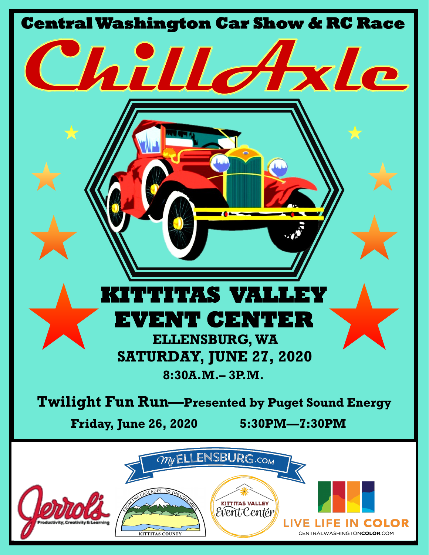